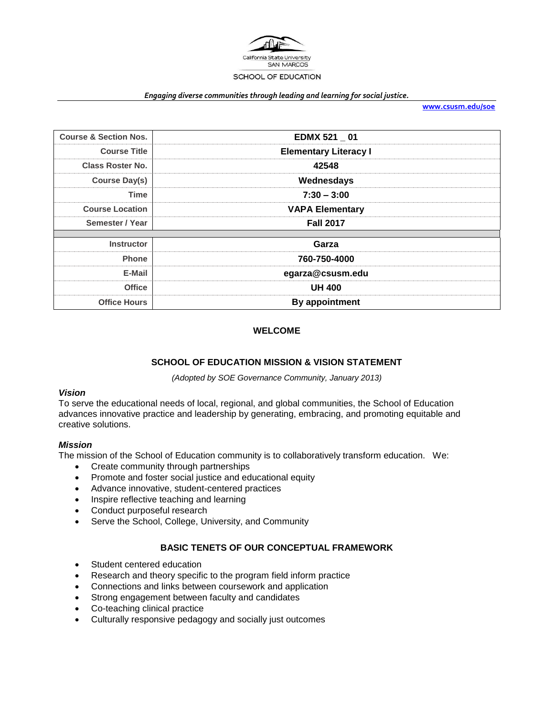

#### *Engaging diverse communities through leading and learning for social justice.*

**[www.csusm.edu/soe](http://www.csusm.edu/soe)**

| <b>Course &amp; Section Nos.</b> | EDMX 521 01                  |  |
|----------------------------------|------------------------------|--|
| <b>Course Title</b>              | <b>Elementary Literacy I</b> |  |
| <b>Class Roster No.</b>          | 42548                        |  |
| <b>Course Day(s)</b>             | Wednesdays                   |  |
| <b>Time</b>                      | $7:30 - 3:00$                |  |
| <b>Course Location</b>           | <b>VAPA Elementary</b>       |  |
| Semester / Year                  | <b>Fall 2017</b>             |  |
|                                  |                              |  |
| <b>Instructor</b>                | Garza                        |  |
| <b>Phone</b>                     | 760-750-4000                 |  |
| E-Mail                           | egarza@csusm.edu             |  |
| <b>Office</b>                    | <b>UH 400</b>                |  |
| <b>Office Hours</b>              | By appointment               |  |
|                                  |                              |  |

#### **WELCOME**

#### **SCHOOL OF EDUCATION MISSION & VISION STATEMENT**

*(Adopted by SOE Governance Community, January 2013)*

#### *Vision*

To serve the educational needs of local, regional, and global communities, the School of Education advances innovative practice and leadership by generating, embracing, and promoting equitable and creative solutions.

#### *Mission*

The mission of the School of Education community is to collaboratively transform education. We:

- Create community through partnerships
- Promote and foster social justice and educational equity
- Advance innovative, student-centered practices
- Inspire reflective teaching and learning
- Conduct purposeful research
- Serve the School, College, University, and Community

### **BASIC TENETS OF OUR CONCEPTUAL FRAMEWORK**

- Student centered education
- Research and theory specific to the program field inform practice
- Connections and links between coursework and application
- Strong engagement between faculty and candidates
- Co-teaching clinical practice
- Culturally responsive pedagogy and socially just outcomes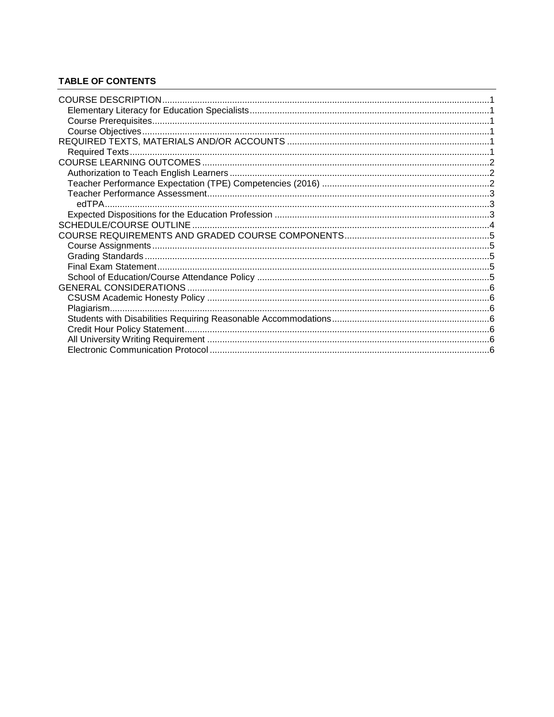# **TABLE OF CONTENTS**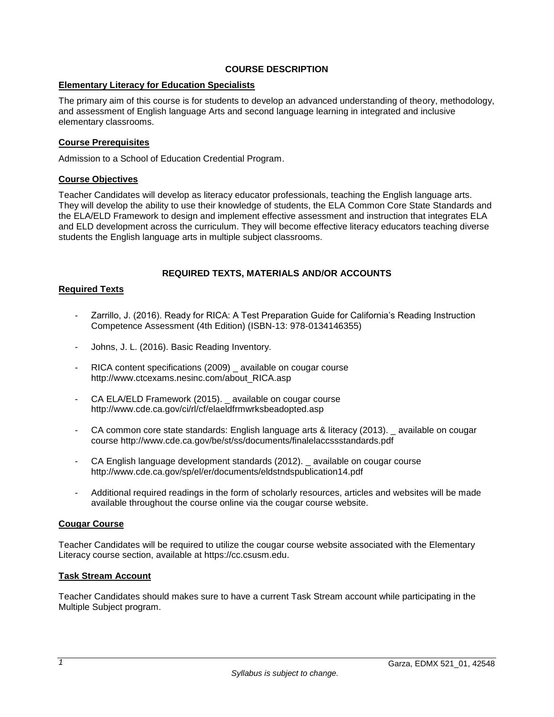### **COURSE DESCRIPTION**

### <span id="page-2-1"></span><span id="page-2-0"></span>**Elementary Literacy for Education Specialists**

The primary aim of this course is for students to develop an advanced understanding of theory, methodology, and assessment of English language Arts and second language learning in integrated and inclusive elementary classrooms.

### <span id="page-2-2"></span>**Course Prerequisites**

Admission to a School of Education Credential Program.

#### <span id="page-2-3"></span>**Course Objectives**

Teacher Candidates will develop as literacy educator professionals, teaching the English language arts. They will develop the ability to use their knowledge of students, the ELA Common Core State Standards and the ELA/ELD Framework to design and implement effective assessment and instruction that integrates ELA and ELD development across the curriculum. They will become effective literacy educators teaching diverse students the English language arts in multiple subject classrooms.

### **REQUIRED TEXTS, MATERIALS AND/OR ACCOUNTS**

#### <span id="page-2-5"></span><span id="page-2-4"></span>**Required Texts**

- Zarrillo, J. (2016). Ready for RICA: A Test Preparation Guide for California's Reading Instruction Competence Assessment (4th Edition) (ISBN-13: 978-0134146355)
- Johns, J. L. (2016). Basic Reading Inventory.
- RICA content specifications (2009) \_ available on cougar course http://www.ctcexams.nesinc.com/about\_RICA.asp
- CA ELA/ELD Framework (2015). available on cougar course http://www.cde.ca.gov/ci/rl/cf/elaeldfrmwrksbeadopted.asp
- CA common core state standards: English language arts & literacy (2013). \_ available on cougar course http://www.cde.ca.gov/be/st/ss/documents/finalelaccssstandards.pdf
- CA English language development standards (2012). available on cougar course http://www.cde.ca.gov/sp/el/er/documents/eldstndspublication14.pdf
- Additional required readings in the form of scholarly resources, articles and websites will be made available throughout the course online via the cougar course website.

#### **Cougar Course**

Teacher Candidates will be required to utilize the cougar course website associated with the Elementary Literacy course section, available at https://cc.csusm.edu.

### **Task Stream Account**

Teacher Candidates should makes sure to have a current Task Stream account while participating in the Multiple Subject program.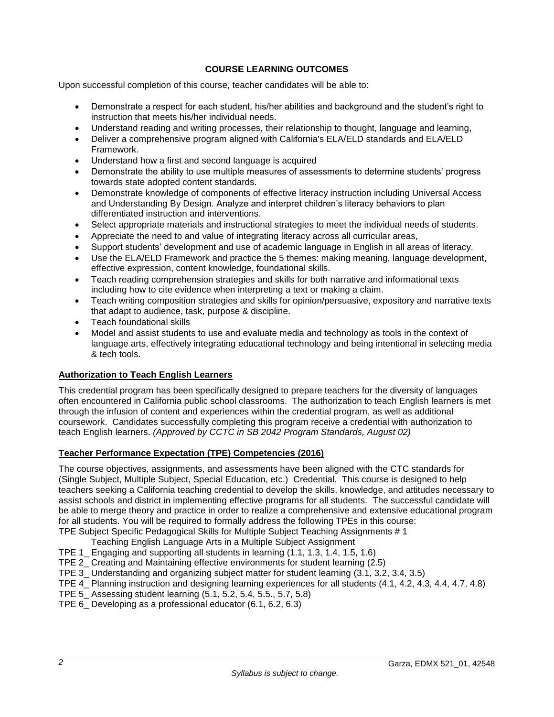### **COURSE LEARNING OUTCOMES**

<span id="page-3-0"></span>Upon successful completion of this course, teacher candidates will be able to:

- Demonstrate a respect for each student, his/her abilities and background and the student's right to instruction that meets his/her individual needs.
- Understand reading and writing processes, their relationship to thought, language and learning,
- Deliver a comprehensive program aligned with California's ELA/ELD standards and ELA/ELD Framework.
- Understand how a first and second language is acquired
- Demonstrate the ability to use multiple measures of assessments to determine students' progress towards state adopted content standards.
- Demonstrate knowledge of components of effective literacy instruction including Universal Access and Understanding By Design. Analyze and interpret children's literacy behaviors to plan differentiated instruction and interventions.
- Select appropriate materials and instructional strategies to meet the individual needs of students.
- Appreciate the need to and value of integrating literacy across all curricular areas,
- Support students' development and use of academic language in English in all areas of literacy.
- Use the ELA/ELD Framework and practice the 5 themes: making meaning, language development, effective expression, content knowledge, foundational skills.
- Teach reading comprehension strategies and skills for both narrative and informational texts including how to cite evidence when interpreting a text or making a claim.
- Teach writing composition strategies and skills for opinion/persuasive, expository and narrative texts that adapt to audience, task, purpose & discipline.
- Teach foundational skills
- Model and assist students to use and evaluate media and technology as tools in the context of language arts, effectively integrating educational technology and being intentional in selecting media & tech tools.

### <span id="page-3-1"></span>**Authorization to Teach English Learners**

This credential program has been specifically designed to prepare teachers for the diversity of languages often encountered in California public school classrooms. The authorization to teach English learners is met through the infusion of content and experiences within the credential program, as well as additional coursework. Candidates successfully completing this program receive a credential with authorization to teach English learners. *(Approved by CCTC in SB 2042 Program Standards, August 02)*

### <span id="page-3-2"></span>**Teacher Performance Expectation (TPE) Competencies (2016)**

The course objectives, assignments, and assessments have been aligned with the CTC standards for (Single Subject, Multiple Subject, Special Education, etc.) Credential. This course is designed to help teachers seeking a California teaching credential to develop the skills, knowledge, and attitudes necessary to assist schools and district in implementing effective programs for all students. The successful candidate will be able to merge theory and practice in order to realize a comprehensive and extensive educational program for all students. You will be required to formally address the following TPEs in this course: TPE Subject Specific Pedagogical Skills for Multiple Subject Teaching Assignments # 1

- Teaching English Language Arts in a Multiple Subject Assignment
- TPE 1\_ Engaging and supporting all students in learning (1.1, 1.3, 1.4, 1.5, 1.6)
- TPE 2\_ Creating and Maintaining effective environments for student learning (2.5)
- TPE 3\_ Understanding and organizing subject matter for student learning (3.1, 3.2, 3.4, 3.5)
- TPE 4 Planning instruction and designing learning experiences for all students (4.1, 4.2, 4.3, 4.4, 4.7, 4.8)
- TPE 5\_ Assessing student learning (5.1, 5.2, 5.4, 5.5., 5.7, 5.8)
- TPE 6\_ Developing as a professional educator (6.1, 6.2, 6.3)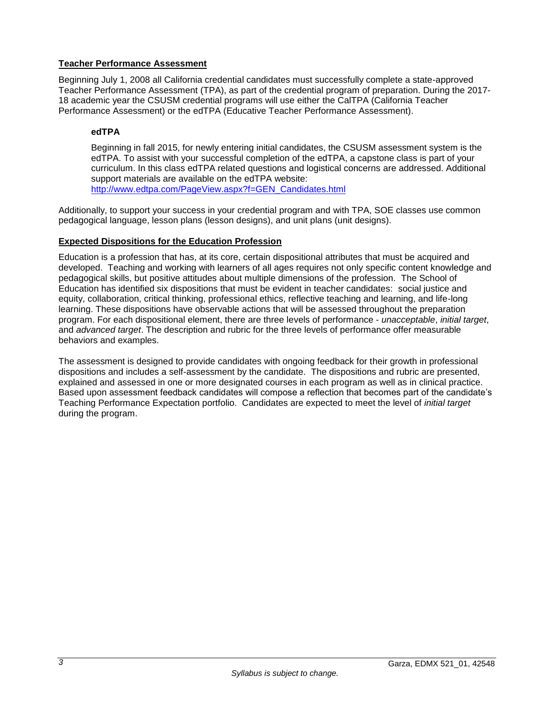### <span id="page-4-0"></span>**Teacher Performance Assessment**

Beginning July 1, 2008 all California credential candidates must successfully complete a state-approved Teacher Performance Assessment (TPA), as part of the credential program of preparation. During the 2017- 18 academic year the CSUSM credential programs will use either the CalTPA (California Teacher Performance Assessment) or the edTPA (Educative Teacher Performance Assessment).

### <span id="page-4-1"></span>**edTPA**

Beginning in fall 2015, for newly entering initial candidates, the CSUSM assessment system is the edTPA. To assist with your successful completion of the edTPA, a capstone class is part of your curriculum. In this class edTPA related questions and logistical concerns are addressed. Additional support materials are available on the edTPA website: [http://www.edtpa.com/PageView.aspx?f=GEN\\_Candidates.html](http://www.edtpa.com/PageView.aspx?f=GEN_Candidates.html)

Additionally, to support your success in your credential program and with TPA, SOE classes use common pedagogical language, lesson plans (lesson designs), and unit plans (unit designs).

### <span id="page-4-2"></span>**Expected Dispositions for the Education Profession**

Education is a profession that has, at its core, certain dispositional attributes that must be acquired and developed. Teaching and working with learners of all ages requires not only specific content knowledge and pedagogical skills, but positive attitudes about multiple dimensions of the profession. The School of Education has identified six dispositions that must be evident in teacher candidates: social justice and equity, collaboration, critical thinking, professional ethics, reflective teaching and learning, and life-long learning. These dispositions have observable actions that will be assessed throughout the preparation program. For each dispositional element, there are three levels of performance - *unacceptable*, *initial target*, and *advanced target*. The description and rubric for the three levels of performance offer measurable behaviors and examples.

The assessment is designed to provide candidates with ongoing feedback for their growth in professional dispositions and includes a self-assessment by the candidate. The dispositions and rubric are presented, explained and assessed in one or more designated courses in each program as well as in clinical practice. Based upon assessment feedback candidates will compose a reflection that becomes part of the candidate's Teaching Performance Expectation portfolio. Candidates are expected to meet the level of *initial target* during the program.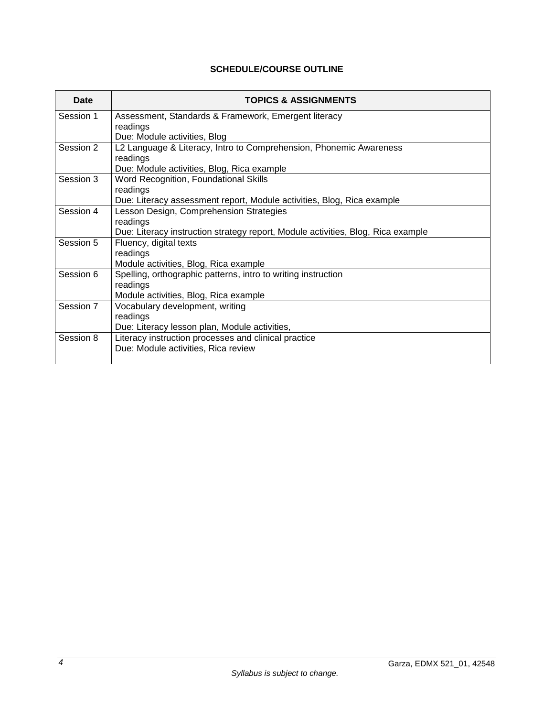# **SCHEDULE/COURSE OUTLINE**

<span id="page-5-0"></span>

| Date      | <b>TOPICS &amp; ASSIGNMENTS</b>                                                  |
|-----------|----------------------------------------------------------------------------------|
| Session 1 | Assessment, Standards & Framework, Emergent literacy                             |
|           | readings                                                                         |
|           | Due: Module activities, Blog                                                     |
| Session 2 | L2 Language & Literacy, Intro to Comprehension, Phonemic Awareness               |
|           | readings                                                                         |
|           | Due: Module activities, Blog, Rica example                                       |
| Session 3 | Word Recognition, Foundational Skills                                            |
|           | readings                                                                         |
|           | Due: Literacy assessment report, Module activities, Blog, Rica example           |
| Session 4 | Lesson Design, Comprehension Strategies                                          |
|           | readings                                                                         |
|           | Due: Literacy instruction strategy report, Module activities, Blog, Rica example |
| Session 5 | Fluency, digital texts                                                           |
|           | readings                                                                         |
|           | Module activities, Blog, Rica example                                            |
| Session 6 | Spelling, orthographic patterns, intro to writing instruction                    |
|           | readings                                                                         |
|           | Module activities, Blog, Rica example                                            |
| Session 7 | Vocabulary development, writing                                                  |
|           | readings                                                                         |
|           | Due: Literacy lesson plan, Module activities,                                    |
| Session 8 | Literacy instruction processes and clinical practice                             |
|           | Due: Module activities, Rica review                                              |
|           |                                                                                  |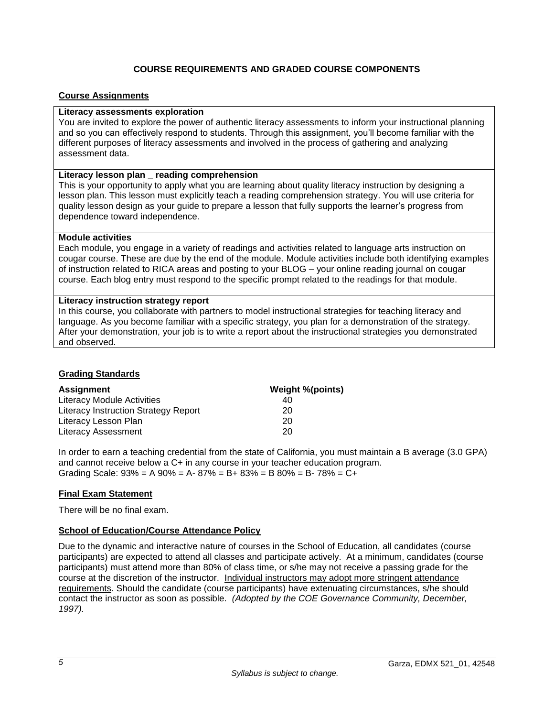## **COURSE REQUIREMENTS AND GRADED COURSE COMPONENTS**

#### <span id="page-6-1"></span><span id="page-6-0"></span>**Course Assignments**

#### **Literacy assessments exploration**

You are invited to explore the power of authentic literacy assessments to inform your instructional planning and so you can effectively respond to students. Through this assignment, you'll become familiar with the different purposes of literacy assessments and involved in the process of gathering and analyzing assessment data.

#### **Literacy lesson plan \_ reading comprehension**

This is your opportunity to apply what you are learning about quality literacy instruction by designing a lesson plan. This lesson must explicitly teach a reading comprehension strategy. You will use criteria for quality lesson design as your guide to prepare a lesson that fully supports the learner's progress from dependence toward independence.

#### **Module activities**

Each module, you engage in a variety of readings and activities related to language arts instruction on cougar course. These are due by the end of the module. Module activities include both identifying examples of instruction related to RICA areas and posting to your BLOG – your online reading journal on cougar course. Each blog entry must respond to the specific prompt related to the readings for that module.

#### **Literacy instruction strategy report**

In this course, you collaborate with partners to model instructional strategies for teaching literacy and language. As you become familiar with a specific strategy, you plan for a demonstration of the strategy. After your demonstration, your job is to write a report about the instructional strategies you demonstrated and observed.

### <span id="page-6-2"></span>**Grading Standards**

| <b>Assignment</b>                    | Weight %(points) |
|--------------------------------------|------------------|
| Literacy Module Activities           | 40               |
| Literacy Instruction Strategy Report | 20               |
| Literacy Lesson Plan                 | 20               |
| <b>Literacy Assessment</b>           | 20               |

In order to earn a teaching credential from the state of California, you must maintain a B average (3.0 GPA) and cannot receive below a C+ in any course in your teacher education program. Grading Scale:  $93\% = A\,90\% = A - 87\% = B + 83\% = B\,80\% = B - 78\% = C +$ 

### <span id="page-6-3"></span>**Final Exam Statement**

There will be no final exam.

### <span id="page-6-4"></span>**School of Education/Course Attendance Policy**

Due to the dynamic and interactive nature of courses in the School of Education, all candidates (course participants) are expected to attend all classes and participate actively. At a minimum, candidates (course participants) must attend more than 80% of class time, or s/he may not receive a passing grade for the course at the discretion of the instructor. Individual instructors may adopt more stringent attendance requirements. Should the candidate (course participants) have extenuating circumstances, s/he should contact the instructor as soon as possible. *(Adopted by the COE Governance Community, December, 1997).*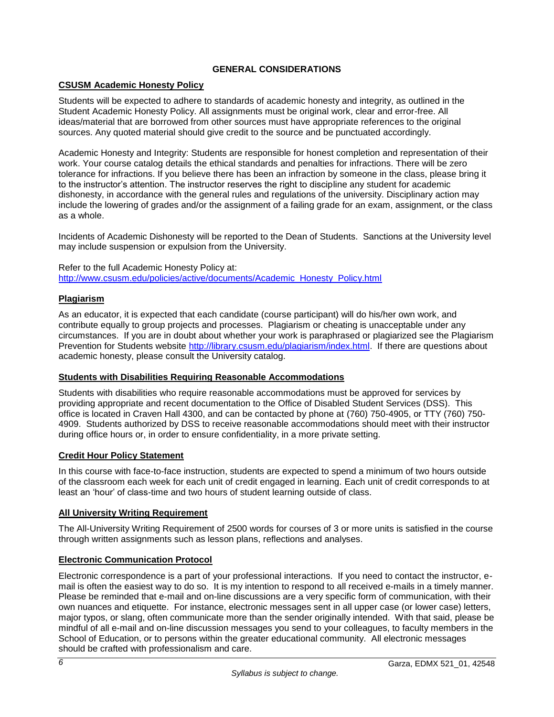### **GENERAL CONSIDERATIONS**

## <span id="page-7-1"></span><span id="page-7-0"></span>**CSUSM Academic Honesty Policy**

Students will be expected to adhere to standards of academic honesty and integrity, as outlined in the Student Academic Honesty Policy. All assignments must be original work, clear and error-free. All ideas/material that are borrowed from other sources must have appropriate references to the original sources. Any quoted material should give credit to the source and be punctuated accordingly.

Academic Honesty and Integrity: Students are responsible for honest completion and representation of their work. Your course catalog details the ethical standards and penalties for infractions. There will be zero tolerance for infractions. If you believe there has been an infraction by someone in the class, please bring it to the instructor's attention. The instructor reserves the right to discipline any student for academic dishonesty, in accordance with the general rules and regulations of the university. Disciplinary action may include the lowering of grades and/or the assignment of a failing grade for an exam, assignment, or the class as a whole.

Incidents of Academic Dishonesty will be reported to the Dean of Students. Sanctions at the University level may include suspension or expulsion from the University.

Refer to the full Academic Honesty Policy at: [http://www.csusm.edu/policies/active/documents/Academic\\_Honesty\\_Policy.html](http://www.csusm.edu/policies/active/documents/Academic_Honesty_Policy.html)

### <span id="page-7-2"></span>**Plagiarism**

As an educator, it is expected that each candidate (course participant) will do his/her own work, and contribute equally to group projects and processes. Plagiarism or cheating is unacceptable under any circumstances. If you are in doubt about whether your work is paraphrased or plagiarized see the Plagiarism Prevention for Students website [http://library.csusm.edu/plagiarism/index.html.](http://library.csusm.edu/plagiarism/index.html) If there are questions about academic honesty, please consult the University catalog.

### <span id="page-7-3"></span>**Students with Disabilities Requiring Reasonable Accommodations**

Students with disabilities who require reasonable accommodations must be approved for services by providing appropriate and recent documentation to the Office of Disabled Student Services (DSS). This office is located in Craven Hall 4300, and can be contacted by phone at (760) 750-4905, or TTY (760) 750- 4909. Students authorized by DSS to receive reasonable accommodations should meet with their instructor during office hours or, in order to ensure confidentiality, in a more private setting.

### <span id="page-7-4"></span>**Credit Hour Policy Statement**

In this course with face-to-face instruction, students are expected to spend a minimum of two hours outside of the classroom each week for each unit of credit engaged in learning. Each unit of credit corresponds to at least an 'hour' of class-time and two hours of student learning outside of class.

### <span id="page-7-5"></span>**All University Writing Requirement**

The All-University Writing Requirement of 2500 words for courses of 3 or more units is satisfied in the course through written assignments such as lesson plans, reflections and analyses.

### <span id="page-7-6"></span>**Electronic Communication Protocol**

Electronic correspondence is a part of your professional interactions. If you need to contact the instructor, email is often the easiest way to do so. It is my intention to respond to all received e-mails in a timely manner. Please be reminded that e-mail and on-line discussions are a very specific form of communication, with their own nuances and etiquette. For instance, electronic messages sent in all upper case (or lower case) letters, major typos, or slang, often communicate more than the sender originally intended. With that said, please be mindful of all e-mail and on-line discussion messages you send to your colleagues, to faculty members in the School of Education, or to persons within the greater educational community. All electronic messages should be crafted with professionalism and care.